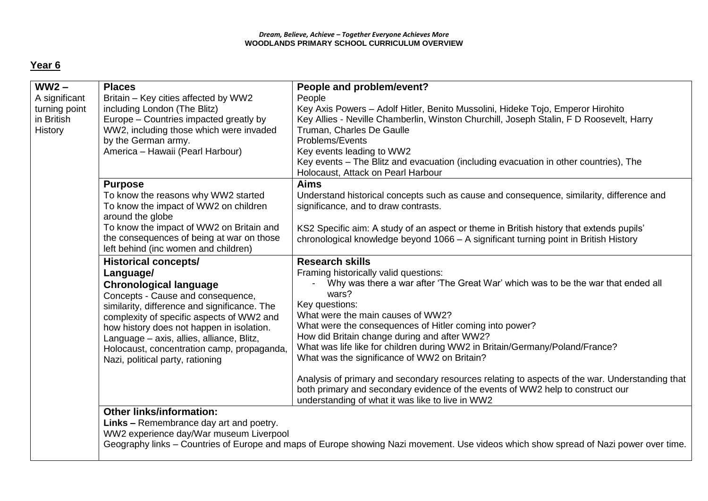| $WW2 -$       | <b>Places</b>                                                                                                                                                                    | People and problem/event?                                                                                         |  |
|---------------|----------------------------------------------------------------------------------------------------------------------------------------------------------------------------------|-------------------------------------------------------------------------------------------------------------------|--|
| A significant | Britain - Key cities affected by WW2                                                                                                                                             | People                                                                                                            |  |
| turning point | including London (The Blitz)                                                                                                                                                     | Key Axis Powers - Adolf Hitler, Benito Mussolini, Hideke Tojo, Emperor Hirohito                                   |  |
| in British    | Europe - Countries impacted greatly by                                                                                                                                           | Key Allies - Neville Chamberlin, Winston Churchill, Joseph Stalin, F D Roosevelt, Harry                           |  |
| History       | WW2, including those which were invaded                                                                                                                                          | Truman, Charles De Gaulle                                                                                         |  |
|               | by the German army.                                                                                                                                                              | Problems/Events                                                                                                   |  |
|               | America - Hawaii (Pearl Harbour)                                                                                                                                                 | Key events leading to WW2<br>Key events - The Blitz and evacuation (including evacuation in other countries), The |  |
|               |                                                                                                                                                                                  | Holocaust, Attack on Pearl Harbour                                                                                |  |
|               | <b>Purpose</b>                                                                                                                                                                   | <b>Aims</b>                                                                                                       |  |
|               | To know the reasons why WW2 started                                                                                                                                              | Understand historical concepts such as cause and consequence, similarity, difference and                          |  |
|               | To know the impact of WW2 on children<br>around the globe                                                                                                                        | significance, and to draw contrasts.                                                                              |  |
|               | To know the impact of WW2 on Britain and                                                                                                                                         | KS2 Specific aim: A study of an aspect or theme in British history that extends pupils'                           |  |
|               | the consequences of being at war on those                                                                                                                                        | chronological knowledge beyond 1066 - A significant turning point in British History                              |  |
|               | left behind (inc women and children)                                                                                                                                             |                                                                                                                   |  |
|               | <b>Historical concepts/</b>                                                                                                                                                      | <b>Research skills</b>                                                                                            |  |
|               | Language/                                                                                                                                                                        | Framing historically valid questions:                                                                             |  |
|               | <b>Chronological language</b>                                                                                                                                                    | Why was there a war after 'The Great War' which was to be the war that ended all                                  |  |
|               | Concepts - Cause and consequence,                                                                                                                                                | wars?                                                                                                             |  |
|               | similarity, difference and significance. The                                                                                                                                     | Key questions:<br>What were the main causes of WW2?                                                               |  |
|               | complexity of specific aspects of WW2 and                                                                                                                                        | What were the consequences of Hitler coming into power?                                                           |  |
|               | how history does not happen in isolation.<br>Language - axis, allies, alliance, Blitz,                                                                                           | How did Britain change during and after WW2?                                                                      |  |
|               | Holocaust, concentration camp, propaganda,                                                                                                                                       | What was life like for children during WW2 in Britain/Germany/Poland/France?                                      |  |
|               | Nazi, political party, rationing                                                                                                                                                 | What was the significance of WW2 on Britain?                                                                      |  |
|               |                                                                                                                                                                                  | Analysis of primary and secondary resources relating to aspects of the war. Understanding that                    |  |
|               |                                                                                                                                                                                  | both primary and secondary evidence of the events of WW2 help to construct our                                    |  |
|               |                                                                                                                                                                                  | understanding of what it was like to live in WW2                                                                  |  |
|               | <b>Other links/information:</b>                                                                                                                                                  |                                                                                                                   |  |
|               | Links - Remembrance day art and poetry.                                                                                                                                          |                                                                                                                   |  |
|               | WW2 experience day/War museum Liverpool<br>Geography links – Countries of Europe and maps of Europe showing Nazi movement. Use videos which show spread of Nazi power over time. |                                                                                                                   |  |
|               |                                                                                                                                                                                  |                                                                                                                   |  |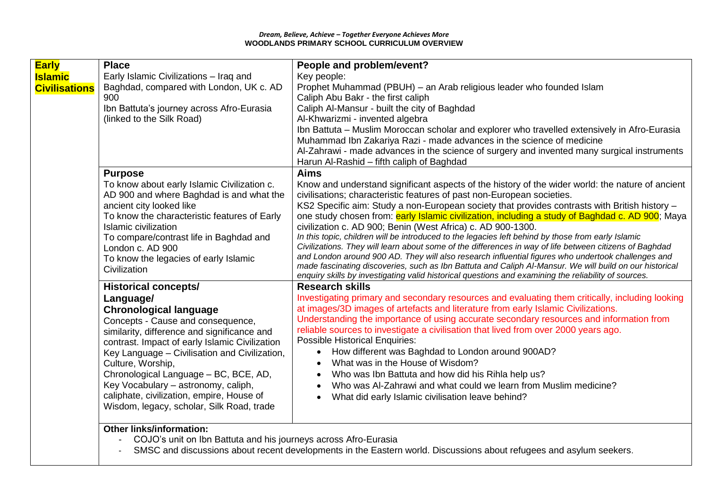| <b>Early</b>         | <b>Place</b>                                   | People and problem/event?                                                                                                                                                                                     |
|----------------------|------------------------------------------------|---------------------------------------------------------------------------------------------------------------------------------------------------------------------------------------------------------------|
| <b>Islamic</b>       | Early Islamic Civilizations - Iraq and         | Key people:                                                                                                                                                                                                   |
| <b>Civilisations</b> | Baghdad, compared with London, UK c. AD        | Prophet Muhammad (PBUH) - an Arab religious leader who founded Islam                                                                                                                                          |
|                      | 900                                            | Caliph Abu Bakr - the first caliph                                                                                                                                                                            |
|                      | Ibn Battuta's journey across Afro-Eurasia      | Caliph Al-Mansur - built the city of Baghdad                                                                                                                                                                  |
|                      | (linked to the Silk Road)                      | Al-Khwarizmi - invented algebra                                                                                                                                                                               |
|                      |                                                | Ibn Battuta - Muslim Moroccan scholar and explorer who travelled extensively in Afro-Eurasia                                                                                                                  |
|                      |                                                | Muhammad Ibn Zakariya Razi - made advances in the science of medicine                                                                                                                                         |
|                      |                                                | Al-Zahrawi - made advances in the science of surgery and invented many surgical instruments                                                                                                                   |
|                      |                                                | Harun Al-Rashid - fifth caliph of Baghdad                                                                                                                                                                     |
|                      | <b>Purpose</b>                                 | <b>Aims</b>                                                                                                                                                                                                   |
|                      | To know about early Islamic Civilization c.    | Know and understand significant aspects of the history of the wider world: the nature of ancient                                                                                                              |
|                      | AD 900 and where Baghdad is and what the       | civilisations; characteristic features of past non-European societies.                                                                                                                                        |
|                      | ancient city looked like                       | KS2 Specific aim: Study a non-European society that provides contrasts with British history -                                                                                                                 |
|                      | To know the characteristic features of Early   | one study chosen from: early Islamic civilization, including a study of Baghdad c. AD 900; Maya                                                                                                               |
|                      | Islamic civilization                           | civilization c. AD 900; Benin (West Africa) c. AD 900-1300.                                                                                                                                                   |
|                      | To compare/contrast life in Baghdad and        | In this topic, children will be introduced to the legacies left behind by those from early Islamic<br>Civilizations. They will learn about some of the differences in way of life between citizens of Baghdad |
|                      | London c. AD 900                               | and London around 900 AD. They will also research influential figures who undertook challenges and                                                                                                            |
|                      | To know the legacies of early Islamic          | made fascinating discoveries, such as Ibn Battuta and Caliph AI-Mansur. We will build on our historical                                                                                                       |
|                      | Civilization                                   | enquiry skills by investigating valid historical questions and examining the reliability of sources.                                                                                                          |
|                      | <b>Historical concepts/</b>                    | <b>Research skills</b>                                                                                                                                                                                        |
|                      | Language/                                      | Investigating primary and secondary resources and evaluating them critically, including looking                                                                                                               |
|                      | <b>Chronological language</b>                  | at images/3D images of artefacts and literature from early Islamic Civilizations.                                                                                                                             |
|                      | Concepts - Cause and consequence,              | Understanding the importance of using accurate secondary resources and information from                                                                                                                       |
|                      | similarity, difference and significance and    | reliable sources to investigate a civilisation that lived from over 2000 years ago.                                                                                                                           |
|                      | contrast. Impact of early Islamic Civilization | <b>Possible Historical Enquiries:</b>                                                                                                                                                                         |
|                      | Key Language - Civilisation and Civilization,  | How different was Baghdad to London around 900AD?<br>$\bullet$                                                                                                                                                |
|                      | Culture, Worship,                              | What was in the House of Wisdom?<br>$\bullet$                                                                                                                                                                 |
|                      | Chronological Language - BC, BCE, AD,          | Who was Ibn Battuta and how did his Rihla help us?<br>$\bullet$                                                                                                                                               |
|                      | Key Vocabulary - astronomy, caliph,            | Who was Al-Zahrawi and what could we learn from Muslim medicine?<br>$\bullet$                                                                                                                                 |
|                      | caliphate, civilization, empire, House of      | What did early Islamic civilisation leave behind?<br>$\bullet$                                                                                                                                                |
|                      | Wisdom, legacy, scholar, Silk Road, trade      |                                                                                                                                                                                                               |
|                      |                                                |                                                                                                                                                                                                               |
|                      | <b>Other links/information:</b>                |                                                                                                                                                                                                               |

- COJO's unit on Ibn Battuta and his journeys across Afro-Eurasia

- SMSC and discussions about recent developments in the Eastern world. Discussions about refugees and asylum seekers.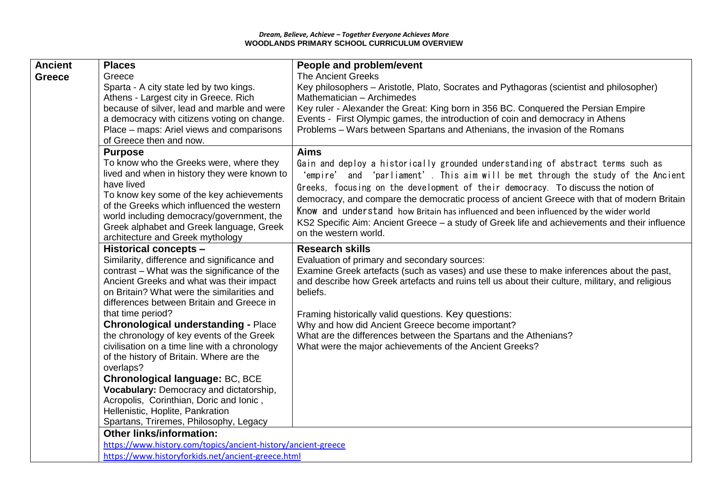| <b>Ancient</b> | <b>Places</b>                                                                          | People and problem/event                                                                                    |
|----------------|----------------------------------------------------------------------------------------|-------------------------------------------------------------------------------------------------------------|
| <b>Greece</b>  | Greece                                                                                 | <b>The Ancient Greeks</b>                                                                                   |
|                | Sparta - A city state led by two kings.                                                | Key philosophers - Aristotle, Plato, Socrates and Pythagoras (scientist and philosopher)                    |
|                | Athens - Largest city in Greece. Rich                                                  | Mathematician - Archimedes                                                                                  |
|                | because of silver, lead and marble and were                                            | Key ruler - Alexander the Great: King born in 356 BC. Conquered the Persian Empire                          |
|                | a democracy with citizens voting on change.                                            | Events - First Olympic games, the introduction of coin and democracy in Athens                              |
|                | Place – maps: Ariel views and comparisons                                              | Problems – Wars between Spartans and Athenians, the invasion of the Romans                                  |
|                | of Greece then and now.                                                                |                                                                                                             |
|                | <b>Purpose</b>                                                                         | <b>Aims</b>                                                                                                 |
|                | To know who the Greeks were, where they                                                | Gain and deploy a historically grounded understanding of abstract terms such as                             |
|                | lived and when in history they were known to                                           | 'empire' and 'parliament'. This aim will be met through the study of the Ancient                            |
|                | have lived                                                                             | Greeks, focusing on the development of their democracy. To discuss the notion of                            |
|                | To know key some of the key achievements                                               | democracy, and compare the democratic process of ancient Greece with that of modern Britain                 |
|                | of the Greeks which influenced the western                                             | Know and understand how Britain has influenced and been influenced by the wider world                       |
|                | world including democracy/government, the                                              | KS2 Specific Aim: Ancient Greece - a study of Greek life and achievements and their influence               |
|                | Greek alphabet and Greek language, Greek                                               | on the western world.                                                                                       |
|                | architecture and Greek mythology                                                       |                                                                                                             |
|                | <b>Historical concepts -</b>                                                           | <b>Research skills</b>                                                                                      |
|                | Similarity, difference and significance and                                            | Evaluation of primary and secondary sources:                                                                |
|                | contrast – What was the significance of the                                            | Examine Greek artefacts (such as vases) and use these to make inferences about the past,                    |
|                | Ancient Greeks and what was their impact<br>on Britain? What were the similarities and | and describe how Greek artefacts and ruins tell us about their culture, military, and religious<br>beliefs. |
|                | differences between Britain and Greece in                                              |                                                                                                             |
|                | that time period?                                                                      | Framing historically valid questions. Key questions:                                                        |
|                | <b>Chronological understanding - Place</b>                                             | Why and how did Ancient Greece become important?                                                            |
|                | the chronology of key events of the Greek                                              | What are the differences between the Spartans and the Athenians?                                            |
|                | civilisation on a time line with a chronology                                          | What were the major achievements of the Ancient Greeks?                                                     |
|                | of the history of Britain. Where are the                                               |                                                                                                             |
|                | overlaps?                                                                              |                                                                                                             |
|                | <b>Chronological language: BC, BCE</b>                                                 |                                                                                                             |
|                | Vocabulary: Democracy and dictatorship,                                                |                                                                                                             |
|                | Acropolis, Corinthian, Doric and Ionic,                                                |                                                                                                             |
|                | Hellenistic, Hoplite, Pankration                                                       |                                                                                                             |
|                | Spartans, Triremes, Philosophy, Legacy                                                 |                                                                                                             |
|                | <b>Other links/information:</b>                                                        |                                                                                                             |
|                | https://www.history.com/topics/ancient-history/ancient-greece                          |                                                                                                             |
|                | https://www.historyforkids.net/ancient-greece.html                                     |                                                                                                             |